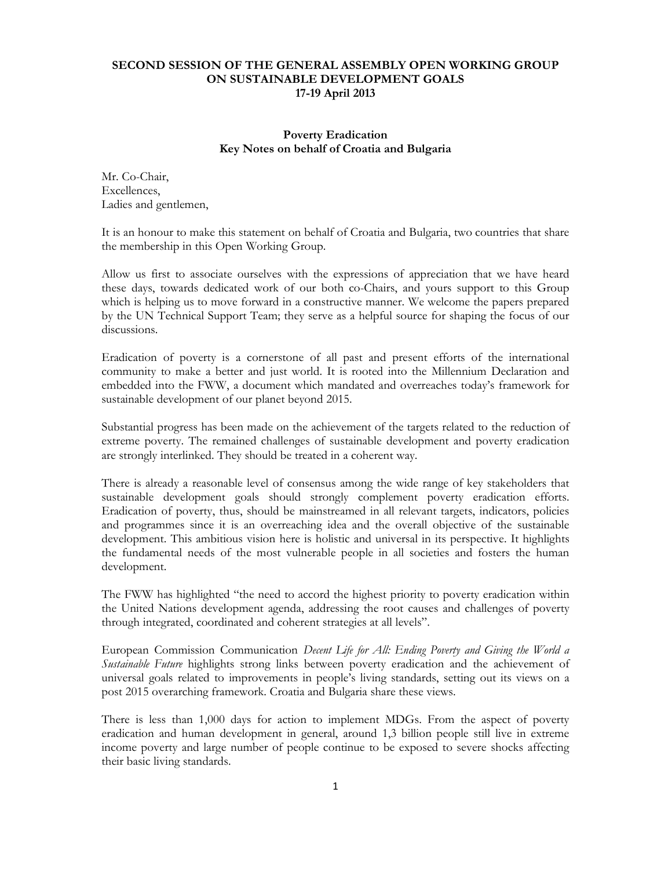## **SECOND SESSION OF THE GENERAL ASSEMBLY OPEN WORKING GROUP ON SUSTAINABLE DEVELOPMENT GOALS 17-19 April 2013**

## **Poverty Eradication Key Notes on behalf of Croatia and Bulgaria**

Mr. Co-Chair, Excellences, Ladies and gentlemen,

It is an honour to make this statement on behalf of Croatia and Bulgaria, two countries that share the membership in this Open Working Group.

Allow us first to associate ourselves with the expressions of appreciation that we have heard these days, towards dedicated work of our both co-Chairs, and yours support to this Group which is helping us to move forward in a constructive manner. We welcome the papers prepared by the UN Technical Support Team; they serve as a helpful source for shaping the focus of our discussions.

Eradication of poverty is a cornerstone of all past and present efforts of the international community to make a better and just world. It is rooted into the Millennium Declaration and embedded into the FWW, a document which mandated and overreaches today's framework for sustainable development of our planet beyond 2015.

Substantial progress has been made on the achievement of the targets related to the reduction of extreme poverty. The remained challenges of sustainable development and poverty eradication are strongly interlinked. They should be treated in a coherent way.

There is already a reasonable level of consensus among the wide range of key stakeholders that sustainable development goals should strongly complement poverty eradication efforts. Eradication of poverty, thus, should be mainstreamed in all relevant targets, indicators, policies and programmes since it is an overreaching idea and the overall objective of the sustainable development. This ambitious vision here is holistic and universal in its perspective. It highlights the fundamental needs of the most vulnerable people in all societies and fosters the human development.

The FWW has highlighted "the need to accord the highest priority to poverty eradication within the United Nations development agenda, addressing the root causes and challenges of poverty through integrated, coordinated and coherent strategies at all levels".

European Commission Communication *Decent Life for All: Ending Poverty and Giving the World a Sustainable Future* highlights strong links between poverty eradication and the achievement of universal goals related to improvements in people's living standards, setting out its views on a post 2015 overarching framework. Croatia and Bulgaria share these views.

There is less than 1,000 days for action to implement MDGs. From the aspect of poverty eradication and human development in general, around 1,3 billion people still live in extreme income poverty and large number of people continue to be exposed to severe shocks affecting their basic living standards.